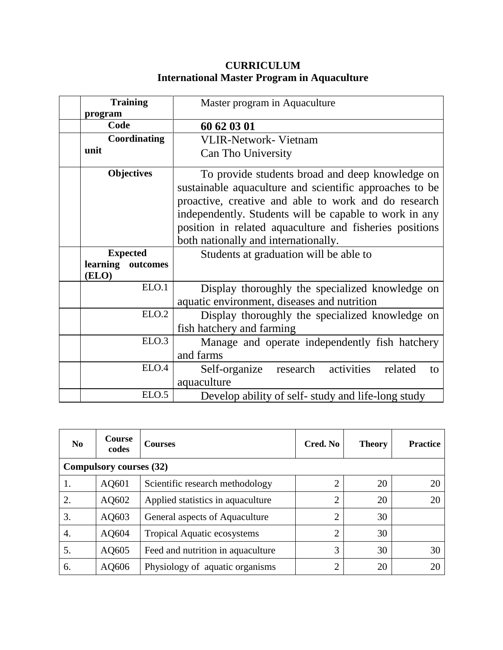## **CURRICULUM International Master Program in Aquaculture**

| <b>Training</b>      | Master program in Aquaculture                            |  |  |  |
|----------------------|----------------------------------------------------------|--|--|--|
| program              |                                                          |  |  |  |
| Code                 | 60 62 03 01                                              |  |  |  |
| Coordinating         | <b>VLIR-Network- Vietnam</b>                             |  |  |  |
| unit                 | Can Tho University                                       |  |  |  |
| <b>Objectives</b>    | To provide students broad and deep knowledge on          |  |  |  |
|                      | sustainable aquaculture and scientific approaches to be  |  |  |  |
|                      | proactive, creative and able to work and do research     |  |  |  |
|                      | independently. Students will be capable to work in any   |  |  |  |
|                      | position in related aquaculture and fisheries positions  |  |  |  |
|                      | both nationally and internationally.                     |  |  |  |
| <b>Expected</b>      | Students at graduation will be able to                   |  |  |  |
| learning<br>outcomes |                                                          |  |  |  |
| (ELO)                |                                                          |  |  |  |
| ELO.1                | Display thoroughly the specialized knowledge on          |  |  |  |
|                      | aquatic environment, diseases and nutrition              |  |  |  |
| ELO.2                | Display thoroughly the specialized knowledge on          |  |  |  |
|                      | fish hatchery and farming                                |  |  |  |
| ELO.3                | Manage and operate independently fish hatchery           |  |  |  |
|                      | and farms                                                |  |  |  |
| ELO.4                | activities<br>research<br>related<br>Self-organize<br>to |  |  |  |
|                      | aquaculture                                              |  |  |  |
| ELO.5                | Develop ability of self- study and life-long study       |  |  |  |

| $\bf No$                       | Course<br>codes | <b>Courses</b>                     | Cred. No       | <b>Theory</b> | <b>Practice</b> |
|--------------------------------|-----------------|------------------------------------|----------------|---------------|-----------------|
| <b>Compulsory courses (32)</b> |                 |                                    |                |               |                 |
| Ι.                             | AQ601           | Scientific research methodology    | $\overline{2}$ | 20            | 20              |
| 2.                             | AQ602           | Applied statistics in aquaculture  | $\overline{2}$ | 20            | 20              |
| 3.                             | AQ603           | General aspects of Aquaculture     | $\overline{2}$ | 30            |                 |
| 4.                             | AQ604           | <b>Tropical Aquatic ecosystems</b> | 2              | 30            |                 |
| 5.                             | AQ605           | Feed and nutrition in aquaculture  | 3              | 30            | 30              |
| 6.                             | AQ606           | Physiology of aquatic organisms    | ∍              | 20            | 20              |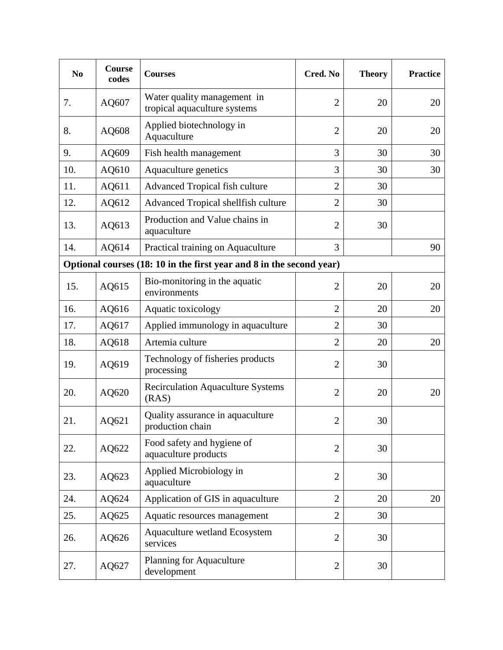| N <sub>0</sub>                                                       | Course<br>codes | <b>Courses</b>                                              | Cred. No       | <b>Theory</b> | <b>Practice</b> |
|----------------------------------------------------------------------|-----------------|-------------------------------------------------------------|----------------|---------------|-----------------|
| 7.                                                                   | AQ607           | Water quality management in<br>tropical aquaculture systems | $\overline{2}$ | 20            | 20              |
| 8.                                                                   | AQ608           | Applied biotechnology in<br>Aquaculture                     | $\overline{2}$ | 20            | 20              |
| 9.                                                                   | AQ609           | Fish health management                                      | 3              | 30            | 30              |
| 10.                                                                  | AQ610           | Aquaculture genetics                                        | 3              | 30            | 30              |
| 11.                                                                  | AQ611           | Advanced Tropical fish culture                              | $\overline{2}$ | 30            |                 |
| 12.                                                                  | AQ612           | Advanced Tropical shellfish culture                         | $\overline{2}$ | 30            |                 |
| 13.                                                                  | AQ613           | Production and Value chains in<br>aquaculture               | $\overline{2}$ | 30            |                 |
| 14.                                                                  | AQ614           | Practical training on Aquaculture                           | 3              |               | 90              |
| Optional courses (18: 10 in the first year and 8 in the second year) |                 |                                                             |                |               |                 |
| 15.                                                                  | AQ615           | Bio-monitoring in the aquatic<br>environments               | $\overline{2}$ | 20            | 20              |
| 16.                                                                  | AQ616           | Aquatic toxicology                                          | $\overline{2}$ | 20            | 20              |
| 17.                                                                  | AQ617           | Applied immunology in aquaculture                           | $\overline{2}$ | 30            |                 |
| 18.                                                                  | AQ618           | Artemia culture                                             | $\overline{2}$ | 20            | 20              |
| 19.                                                                  | AQ619           | Technology of fisheries products<br>processing              | $\overline{2}$ | 30            |                 |
| 20.                                                                  | AQ620           | <b>Recirculation Aquaculture Systems</b><br>(RAS)           | $\overline{2}$ | 20            | 20              |
| 21.                                                                  | AQ621           | Quality assurance in aquaculture<br>production chain        | $\overline{2}$ | 30            |                 |
| 22.                                                                  | AQ622           | Food safety and hygiene of<br>aquaculture products          | $\overline{2}$ | 30            |                 |
| 23.                                                                  | AQ623           | Applied Microbiology in<br>aquaculture                      | $\overline{2}$ | 30            |                 |
| 24.                                                                  | AQ624           | Application of GIS in aquaculture                           | $\overline{2}$ | 20            | 20              |
| 25.                                                                  | AQ625           | Aquatic resources management                                | $\overline{2}$ | 30            |                 |
| 26.                                                                  | AQ626           | Aquaculture wetland Ecosystem<br>services                   | $\overline{2}$ | 30            |                 |
| 27.                                                                  | AQ627           | <b>Planning for Aquaculture</b><br>development              | $\overline{2}$ | 30            |                 |